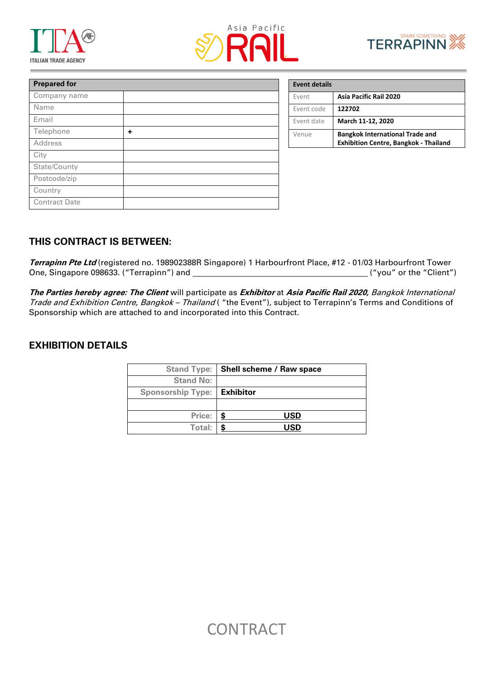





| <b>Prepared for</b>  |   |
|----------------------|---|
| Company name         |   |
| Name                 |   |
| Email                |   |
| Telephone            | ÷ |
| Address              |   |
| City                 |   |
| State/County         |   |
| Postcode/zip         |   |
| Country              |   |
| <b>Contract Date</b> |   |

| <b>Event details</b> |                                                                                        |
|----------------------|----------------------------------------------------------------------------------------|
| Event                | <b>Asia Pacific Rail 2020</b>                                                          |
| Event code           | 122702                                                                                 |
| Event date           | March 11-12, 2020                                                                      |
| Venue                | <b>Bangkok International Trade and</b><br><b>Exhibition Centre, Bangkok - Thailand</b> |

## **THIS CONTRACT IS BETWEEN:**

**Terrapinn Pte Ltd** (registered no. 198902388R Singapore) 1 Harbourfront Place, #12 - 01/03 Harbourfront Tower One, Singapore 098633. ("Terrapinn") and ("you" or the "Client")

**The Parties hereby agree: The Client** will participate as **Exhibitor** at **Asia Pacific Rail 2020,** Bangkok International Trade and Exhibition Centre, Bangkok - Thailand ("the Event"), subject to Terrapinn's Terms and Conditions of Sponsorship which are attached to and incorporated into this Contract.

### **EXHIBITION DETAILS**

|                          | Stand Type:   Shell scheme / Raw space |  |
|--------------------------|----------------------------------------|--|
| <b>Stand No:</b>         |                                        |  |
| <b>Sponsorship Type:</b> | <b>Exhibitor</b>                       |  |
|                          |                                        |  |
| Price:                   | USD                                    |  |
| Total:                   | USD                                    |  |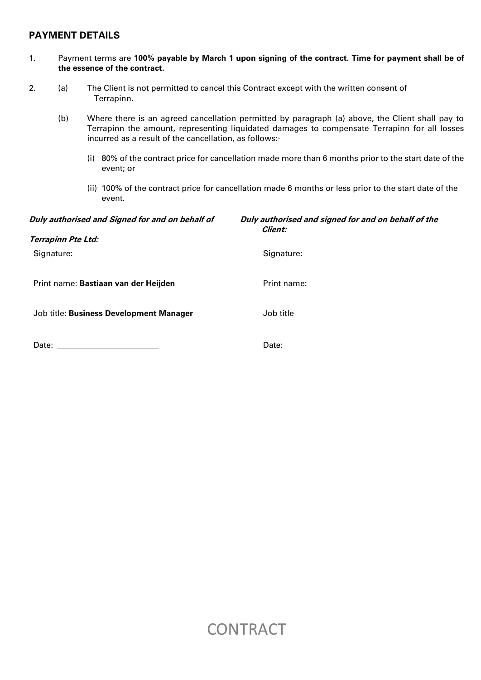## **PAYMENT DETAILS**

### 1. Payment terms are **100% payable by March 1 upon signing of the contract. Time for payment shall be of the essence of the contract.**

- 2. (a) The Client is not permitted to cancel this Contract except with the written consent of Terrapinn.
	- (b) Where there is an agreed cancellation permitted by paragraph (a) above, the Client shall pay to Terrapinn the amount, representing liquidated damages to compensate Terrapinn for all losses incurred as a result of the cancellation, as follows:-
		- (i) 80% of the contract price for cancellation made more than 6 months prior to the start date of the event; or
		- (ii) 100% of the contract price for cancellation made 6 months or less prior to the start date of the event.

| Duly authorised and Signed for and on behalf of | Duly authorised and signed for and on behalf of the<br><i>Client:</i> |
|-------------------------------------------------|-----------------------------------------------------------------------|
| <b>Terrapinn Pte Ltd:</b>                       |                                                                       |
| Signature:                                      | Signature:                                                            |
| Print name: Bastiaan van der Heijden            | Print name:                                                           |
| Job title: Business Development Manager         | Job title                                                             |
| Date:                                           | Date:                                                                 |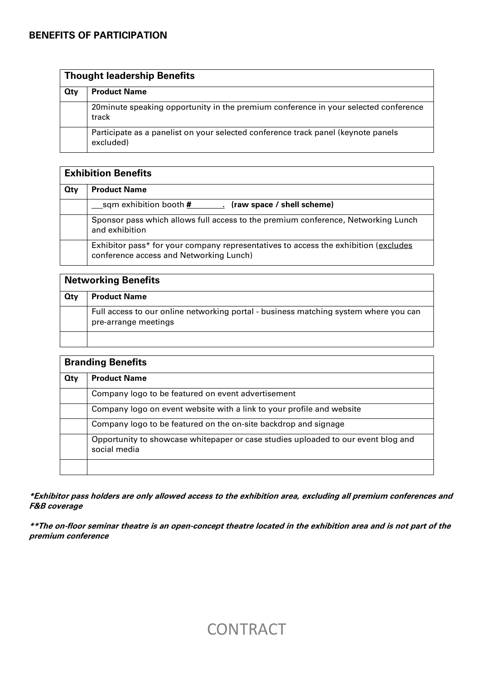| <b>Thought leadership Benefits</b> |                                                                                                |
|------------------------------------|------------------------------------------------------------------------------------------------|
| Qty                                | <b>Product Name</b>                                                                            |
|                                    | 20 minute speaking opportunity in the premium conference in your selected conference<br>track  |
|                                    | Participate as a panelist on your selected conference track panel (keynote panels<br>excluded) |

| <b>Exhibition Benefits</b> |                                                                                                                                |
|----------------------------|--------------------------------------------------------------------------------------------------------------------------------|
| Qty                        | <b>Product Name</b>                                                                                                            |
|                            | (raw space / shell scheme)                                                                                                     |
|                            | Sponsor pass which allows full access to the premium conference, Networking Lunch<br>and exhibition                            |
|                            | Exhibitor pass* for your company representatives to access the exhibition (excludes<br>conference access and Networking Lunch) |

| <b>Networking Benefits</b> |                                                                                                              |
|----------------------------|--------------------------------------------------------------------------------------------------------------|
| Qty                        | <b>Product Name</b>                                                                                          |
|                            | Full access to our online networking portal - business matching system where you can<br>pre-arrange meetings |
|                            |                                                                                                              |

| <b>Branding Benefits</b> |                                                                                                   |
|--------------------------|---------------------------------------------------------------------------------------------------|
| <b>Qty</b>               | <b>Product Name</b>                                                                               |
|                          | Company logo to be featured on event advertisement                                                |
|                          | Company logo on event website with a link to your profile and website                             |
|                          | Company logo to be featured on the on-site backdrop and signage                                   |
|                          | Opportunity to showcase whitepaper or case studies uploaded to our event blog and<br>social media |
|                          |                                                                                                   |

**\*Exhibitor pass holders are only allowed access to the exhibition area, excluding all premium conferences and F&B coverage**

**\*\*The on-floor seminar theatre is an open-concept theatre located in the exhibition area and is not part of the premium conference**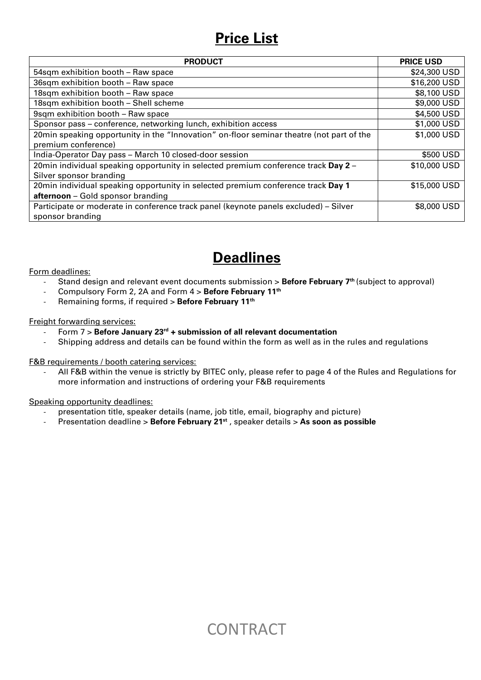## **Price List**

| <b>PRODUCT</b>                                                                           | <b>PRICE USD</b> |
|------------------------------------------------------------------------------------------|------------------|
| 54sqm exhibition booth - Raw space                                                       | \$24,300 USD     |
| 36sqm exhibition booth - Raw space                                                       | \$16,200 USD     |
| 18sqm exhibition booth - Raw space                                                       | \$8,100 USD      |
| 18sqm exhibition booth - Shell scheme                                                    | \$9,000 USD      |
| 9sqm exhibition booth - Raw space                                                        | \$4,500 USD      |
| Sponsor pass – conference, networking lunch, exhibition access                           | \$1,000 USD      |
| 20min speaking opportunity in the "Innovation" on-floor seminar theatre (not part of the | \$1,000 USD      |
| premium conference)                                                                      |                  |
| India-Operator Day pass - March 10 closed-door session                                   | \$500 USD        |
| 20min individual speaking opportunity in selected premium conference track Day 2 -       | \$10,000 USD     |
| Silver sponsor branding                                                                  |                  |
| 20min individual speaking opportunity in selected premium conference track Day 1         | \$15,000 USD     |
| afternoon - Gold sponsor branding                                                        |                  |
| Participate or moderate in conference track panel (keynote panels excluded) - Silver     | \$8,000 USD      |
| sponsor branding                                                                         |                  |

## **Deadlines**

Form deadlines:

- Stand design and relevant event documents submission > **Before February 7th** (subject to approval)
- Compulsory Form 2, 2A and Form 4 > **Before February 11th**
- Remaining forms, if required > **Before February 11th**

### Freight forwarding services:

- Form 7 > **Before January 23rd + submission of all relevant documentation**
- Shipping address and details can be found within the form as well as in the rules and regulations

F&B requirements / booth catering services:

- All F&B within the venue is strictly by BITEC only, please refer to page 4 of the Rules and Regulations for more information and instructions of ordering your F&B requirements

Speaking opportunity deadlines:

- presentation title, speaker details (name, job title, email, biography and picture)
- Presentation deadline > **Before February 21st** , speaker details > **As soon as possible**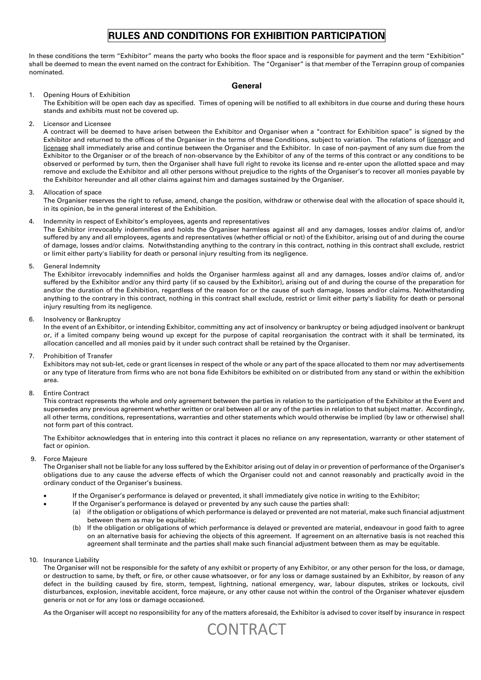## **RULES AND CONDITIONS FOR EXHIBITION PARTICIPATION**

In these conditions the term "Exhibitor" means the party who books the floor space and is responsible for payment and the term "Exhibition" shall be deemed to mean the event named on the contract for Exhibition. The "Organiser" is that member of the Terrapinn group of companies nominated.

#### **General**

#### 1. Opening Hours of Exhibition

The Exhibition will be open each day as specified. Times of opening will be notified to all exhibitors in due course and during these hours stands and exhibits must not be covered up.

2. Licensor and Licensee

A contract will be deemed to have arisen between the Exhibitor and Organiser when a "contract for Exhibition space" is signed by the Exhibitor and returned to the offices of the Organiser in the terms of these Conditions, subject to variation. The relations of licensor and licensee shall immediately arise and continue between the Organiser and the Exhibitor. In case of non-payment of any sum due from the Exhibitor to the Organiser or of the breach of non-observance by the Exhibitor of any of the terms of this contract or any conditions to be observed or performed by turn, then the Organiser shall have full right to revoke its license and re-enter upon the allotted space and may remove and exclude the Exhibitor and all other persons without prejudice to the rights of the Organiser's to recover all monies payable by the Exhibitor hereunder and all other claims against him and damages sustained by the Organiser.

#### 3. Allocation of space

The Organiser reserves the right to refuse, amend, change the position, withdraw or otherwise deal with the allocation of space should it, in its opinion, be in the general interest of the Exhibition.

#### Indemnity in respect of Exhibitor's employees, agents and representatives

The Exhibitor irrevocably indemnifies and holds the Organiser harmless against all and any damages, losses and/or claims of, and/or suffered by any and all employees, agents and representatives (whether official or not) of the Exhibitor, arising out of and during the course of damage, losses and/or claims. Notwithstanding anything to the contrary in this contract, nothing in this contract shall exclude, restrict or limit either party's liability for death or personal injury resulting from its negligence.

5. General Indemnity

The Exhibitor irrevocably indemnifies and holds the Organiser harmless against all and any damages, losses and/or claims of, and/or suffered by the Exhibitor and/or any third party (if so caused by the Exhibitor), arising out of and during the course of the preparation for and/or the duration of the Exhibition, regardless of the reason for or the cause of such damage, losses and/or claims. Notwithstanding anything to the contrary in this contract, nothing in this contract shall exclude, restrict or limit either party's liability for death or personal injury resulting from its negligence.

6. Insolvency or Bankruptcy

In the event of an Exhibitor, or intending Exhibitor, committing any act of insolvency or bankruptcy or being adjudged insolvent or bankrupt or, if a limited company being wound up except for the purpose of capital reorganisation the contract with it shall be terminated, its allocation cancelled and all monies paid by it under such contract shall be retained by the Organiser.

7. Prohibition of Transfer

Exhibitors may not sub-let, cede or grant licenses in respect of the whole or any part of the space allocated to them nor may advertisements or any type of literature from firms who are not bona fide Exhibitors be exhibited on or distributed from any stand or within the exhibition area.

8. Entire Contract

This contract represents the whole and only agreement between the parties in relation to the participation of the Exhibitor at the Event and supersedes any previous agreement whether written or oral between all or any of the parties in relation to that subject matter. Accordingly, all other terms, conditions, representations, warranties and other statements which would otherwise be implied (by law or otherwise) shall not form part of this contract.

The Exhibitor acknowledges that in entering into this contract it places no reliance on any representation, warranty or other statement of fact or opinion.

#### 9. Force Majeure

The Organiser shall not be liable for any loss suffered by the Exhibitor arising out of delay in or prevention of performance of the Organiser's obligations due to any cause the adverse effects of which the Organiser could not and cannot reasonably and practically avoid in the ordinary conduct of the Organiser's business.

- If the Organiser's performance is delayed or prevented, it shall immediately give notice in writing to the Exhibitor;
	- If the Organiser's performance is delayed or prevented by any such cause the parties shall:
		- (a) if the obligation or obligations of which performance is delayed or prevented are not material, make such financial adjustment between them as may be equitable:
		- (b) If the obligation or obligations of which performance is delayed or prevented are material, endeavour in good faith to agree on an alternative basis for achieving the objects of this agreement. If agreement on an alternative basis is not reached this agreement shall terminate and the parties shall make such financial adjustment between them as may be equitable.
- 10. Insurance Liability

The Organiser will not be responsible for the safety of any exhibit or property of any Exhibitor, or any other person for the loss, or damage, or destruction to same, by theft, or fire, or other cause whatsoever, or for any loss or damage sustained by an Exhibitor, by reason of any defect in the building caused by fire, storm, tempest, lightning, national emergency, war, labour disputes, strikes or lockouts, civil disturbances, explosion, inevitable accident, force majeure, or any other cause not within the control of the Organiser whatever ejusdem generis or not or for any loss or damage occasioned.

As the Organiser will accept no responsibility for any of the matters aforesaid, the Exhibitor is advised to cover itself by insurance in respect

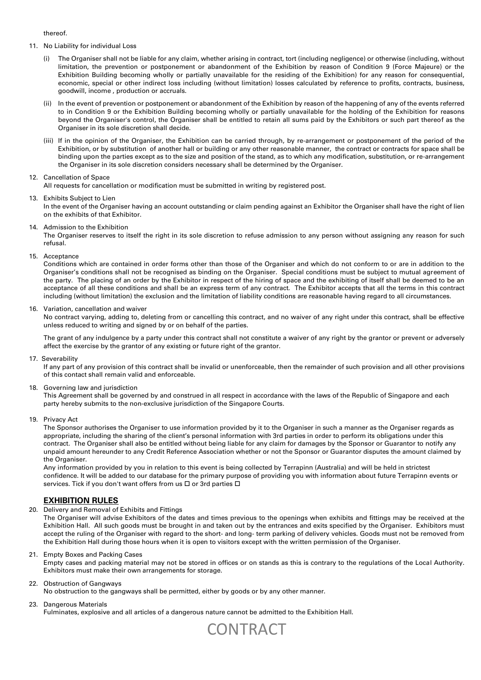thereof.

- 11. No Liability for individual Loss
	- The Organiser shall not be liable for any claim, whether arising in contract, tort (including negligence) or otherwise (including, without limitation, the prevention or postponement or abandonment of the Exhibition by reason of Condition 9 (Force Majeure) or the Exhibition Building becoming wholly or partially unavailable for the residing of the Exhibition) for any reason for consequential, economic, special or other indirect loss including (without limitation) losses calculated by reference to profits, contracts, business, goodwill, income , production or accruals.
	- (ii) In the event of prevention or postponement or abandonment of the Exhibition by reason of the happening of any of the events referred to in Condition 9 or the Exhibition Building becoming wholly or partially unavailable for the holding of the Exhibition for reasons beyond the Organiser's control, the Organiser shall be entitled to retain all sums paid by the Exhibitors or such part thereof as the Organiser in its sole discretion shall decide.
	- (iii) If in the opinion of the Organiser, the Exhibition can be carried through, by re-arrangement or postponement of the period of the Exhibition, or by substitution of another hall or building or any other reasonable manner, the contract or contracts for space shall be binding upon the parties except as to the size and position of the stand, as to which any modification, substitution, or re-arrangement the Organiser in its sole discretion considers necessary shall be determined by the Organiser.

#### 12. Cancellation of Space

All requests for cancellation or modification must be submitted in writing by registered post.

#### 13. Exhibits Subject to Lien

In the event of the Organiser having an account outstanding or claim pending against an Exhibitor the Organiser shall have the right of lien on the exhibits of that Exhibitor.

14. Admission to the Exhibition

The Organiser reserves to itself the right in its sole discretion to refuse admission to any person without assigning any reason for such refusal.

15. Acceptance

Conditions which are contained in order forms other than those of the Organiser and which do not conform to or are in addition to the Organiser's conditions shall not be recognised as binding on the Organiser. Special conditions must be subject to mutual agreement of the party. The placing of an order by the Exhibitor in respect of the hiring of space and the exhibiting of itself shall be deemed to be an acceptance of all these conditions and shall be an express term of any contract. The Exhibitor accepts that all the terms in this contract including (without limitation) the exclusion and the limitation of liability conditions are reasonable having regard to all circumstances.

#### 16. Variation, cancellation and waiver

No contract varying, adding to, deleting from or cancelling this contract, and no waiver of any right under this contract, shall be effective unless reduced to writing and signed by or on behalf of the parties.

The grant of any indulgence by a party under this contract shall not constitute a waiver of any right by the grantor or prevent or adversely affect the exercise by the grantor of any existing or future right of the grantor.

17. Severability

If any part of any provision of this contract shall be invalid or unenforceable, then the remainder of such provision and all other provisions of this contact shall remain valid and enforceable.

18. Governing law and jurisdiction

This Agreement shall be governed by and construed in all respect in accordance with the laws of the Republic of Singapore and each party hereby submits to the non-exclusive jurisdiction of the Singapore Courts.

19. Privacy Act

The Sponsor authorises the Organiser to use information provided by it to the Organiser in such a manner as the Organiser regards as appropriate, including the sharing of the client's personal information with 3rd parties in order to perform its obligations under this contract. The Organiser shall also be entitled without being liable for any claim for damages by the Sponsor or Guarantor to notify any unpaid amount hereunder to any Credit Reference Association whether or not the Sponsor or Guarantor disputes the amount claimed by the Organiser.

Any information provided by you in relation to this event is being collected by Terrapinn (Australia) and will be held in strictest confidence. It will be added to our database for the primary purpose of providing you with information about future Terrapinn events or services. Tick if you don't want offers from us  $\Box$  or 3rd parties  $\Box$ 

#### **EXHIBITION RULES**

20. Delivery and Removal of Exhibits and Fittings

The Organiser will advise Exhibitors of the dates and times previous to the openings when exhibits and fittings may be received at the Exhibition Hall. All such goods must be brought in and taken out by the entrances and exits specified by the Organiser. Exhibitors must accept the ruling of the Organiser with regard to the short- and long- term parking of delivery vehicles. Goods must not be removed from the Exhibition Hall during those hours when it is open to visitors except with the written permission of the Organiser.

21. Empty Boxes and Packing Cases

Empty cases and packing material may not be stored in offices or on stands as this is contrary to the regulations of the Local Authority. Exhibitors must make their own arrangements for storage.

#### 22. Obstruction of Gangways

No obstruction to the gangways shall be permitted, either by goods or by any other manner.

#### 23. Dangerous Materials

Fulminates, explosive and all articles of a dangerous nature cannot be admitted to the Exhibition Hall.